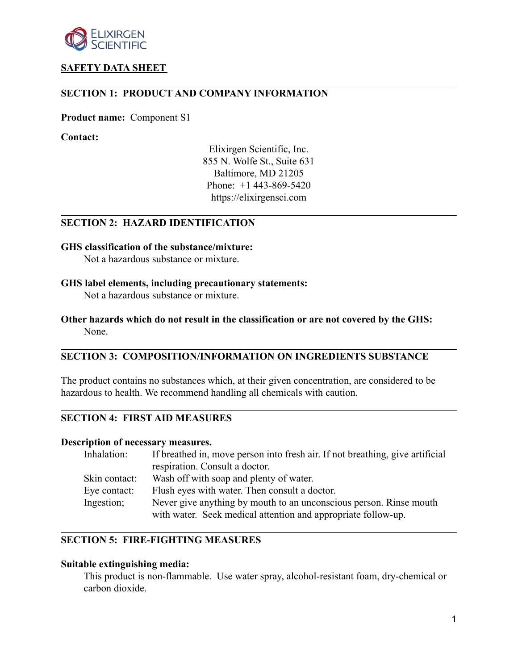

# **SAFETY DATA SHEET**

# **SECTION 1: PRODUCT AND COMPANY INFORMATION**

**Product name:** Component S1

**Contact:**

Elixirgen Scientific, Inc. 855 N. Wolfe St., Suite 631 Baltimore, MD 21205 Phone: +1 443-869-5420 https://elixirgensci.com

# **SECTION 2: HAZARD IDENTIFICATION**

# **GHS classification of the substance/mixture:**

Not a hazardous substance or mixture.

### **GHS label elements, including precautionary statements:**

Not a hazardous substance or mixture.

# **Other hazards which do not result in the classification or are not covered by the GHS:** None.

# **SECTION 3: COMPOSITION/INFORMATION ON INGREDIENTS SUBSTANCE**

The product contains no substances which, at their given concentration, are considered to be hazardous to health. We recommend handling all chemicals with caution.

# **SECTION 4: FIRST AID MEASURES**

# **Description of necessary measures.**

| Inhalation:   | If breathed in, move person into fresh air. If not breathing, give artificial |  |
|---------------|-------------------------------------------------------------------------------|--|
|               | respiration. Consult a doctor.                                                |  |
| Skin contact: | Wash off with soap and plenty of water.                                       |  |
| Eye contact:  | Flush eyes with water. Then consult a doctor.                                 |  |
| Ingestion;    | Never give anything by mouth to an unconscious person. Rinse mouth            |  |
|               | with water. Seek medical attention and appropriate follow-up.                 |  |

# **SECTION 5: FIRE-FIGHTING MEASURES**

# **Suitable extinguishing media:**

This product is non-flammable. Use water spray, alcohol-resistant foam, dry-chemical or carbon dioxide.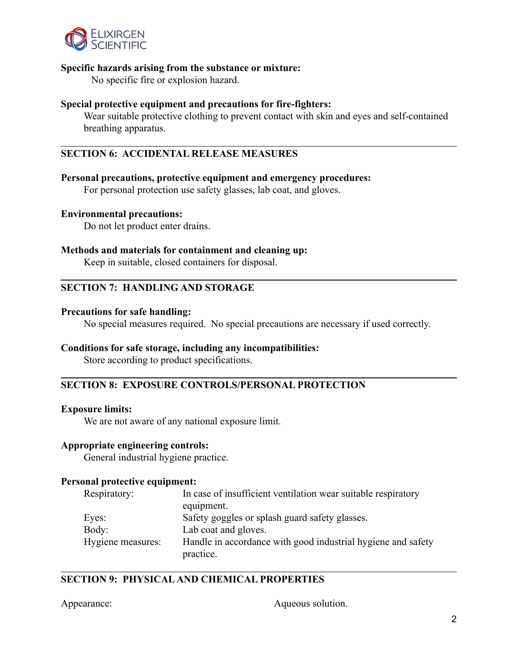

### **Specific hazards arising from the substance or mixture:**

No specific fire or explosion hazard.

### **Special protective equipment and precautions for fire-fighters:**

Wear suitable protective clothing to prevent contact with skin and eyes and self-contained breathing apparatus.

# **SECTION 6: ACCIDENTAL RELEASE MEASURES**

#### **Personal precautions, protective equipment and emergency procedures:**

For personal protection use safety glasses, lab coat, and gloves.

### **Environmental precautions:**

Do not let product enter drains.

### **Methods and materials for containment and cleaning up:**

Keep in suitable, closed containers for disposal.

# **SECTION 7: HANDLING AND STORAGE**

### **Precautions for safe handling:**

No special measures required. No special precautions are necessary if used correctly.

# **Conditions for safe storage, including any incompatibilities:**

Store according to product specifications.

# **SECTION 8: EXPOSURE CONTROLS/PERSONAL PROTECTION**

#### **Exposure limits:**

We are not aware of any national exposure limit.

#### **Appropriate engineering controls:**

General industrial hygiene practice.

#### **Personal protective equipment:**

| Respiratory:      | In case of insufficient ventilation wear suitable respiratory |  |
|-------------------|---------------------------------------------------------------|--|
|                   | equipment.                                                    |  |
| Eyes:             | Safety goggles or splash guard safety glasses.                |  |
| Body:             | Lab coat and gloves.                                          |  |
| Hygiene measures: | Handle in accordance with good industrial hygiene and safety  |  |
|                   | practice.                                                     |  |

# **SECTION 9: PHYSICAL AND CHEMICAL PROPERTIES**

Appearance: Aqueous solution.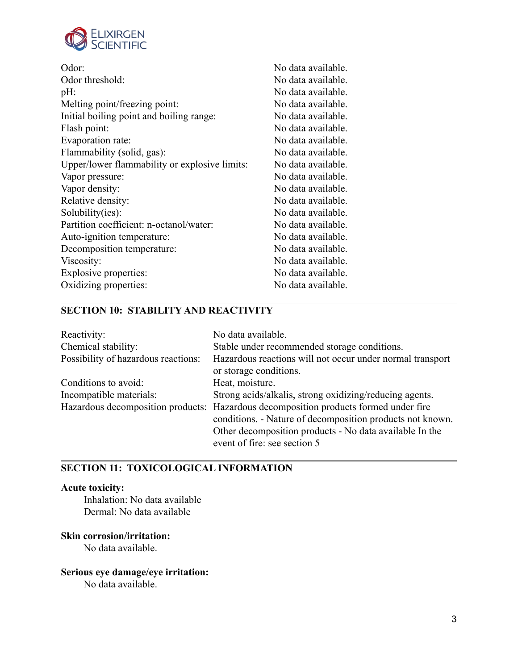

| Odor:                                         | No data available. |
|-----------------------------------------------|--------------------|
| Odor threshold:                               | No data available. |
| $pH$ :                                        | No data available. |
| Melting point/freezing point:                 | No data available. |
| Initial boiling point and boiling range:      | No data available. |
| Flash point:                                  | No data available. |
| Evaporation rate:                             | No data available. |
| Flammability (solid, gas):                    | No data available. |
| Upper/lower flammability or explosive limits: | No data available. |
| Vapor pressure:                               | No data available. |
| Vapor density:                                | No data available. |
| Relative density:                             | No data available. |
| Solubility(ies):                              | No data available. |
| Partition coefficient: n-octanol/water:       | No data available. |
| Auto-ignition temperature:                    | No data available. |
| Decomposition temperature:                    | No data available. |
| Viscosity:                                    | No data available. |
| Explosive properties:                         | No data available. |
| Oxidizing properties:                         | No data available. |

# **SECTION 10: STABILITY AND REACTIVITY**

| Reactivity:                         | No data available.                                                                   |
|-------------------------------------|--------------------------------------------------------------------------------------|
| Chemical stability:                 | Stable under recommended storage conditions.                                         |
| Possibility of hazardous reactions: | Hazardous reactions will not occur under normal transport                            |
|                                     | or storage conditions.                                                               |
| Conditions to avoid:                | Heat, moisture.                                                                      |
| Incompatible materials:             | Strong acids/alkalis, strong oxidizing/reducing agents.                              |
|                                     | Hazardous decomposition products: Hazardous decomposition products formed under fire |
|                                     | conditions. - Nature of decomposition products not known.                            |
|                                     | Other decomposition products - No data available In the                              |
|                                     | event of fire: see section 5                                                         |

# **SECTION 11: TOXICOLOGICAL INFORMATION**

# **Acute toxicity:**

Inhalation: No data available Dermal: No data available

# **Skin corrosion/irritation:**

No data available.

# **Serious eye damage/eye irritation:**

No data available.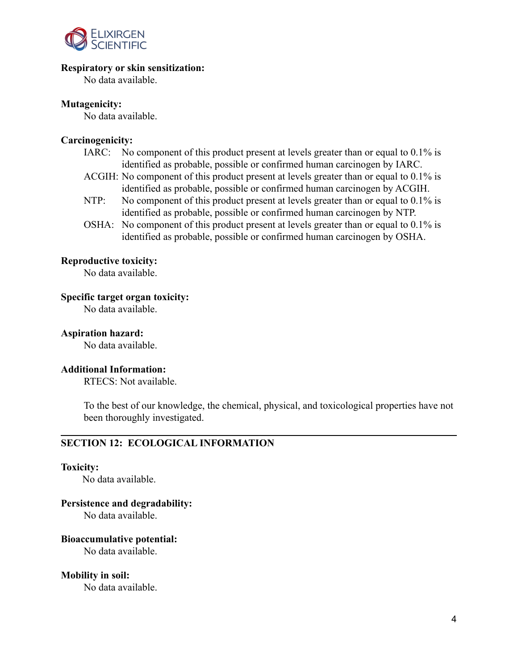

# **Respiratory or skin sensitization:**

No data available.

# **Mutagenicity:**

No data available.

### **Carcinogenicity:**

- IARC: No component of this product present at levels greater than or equal to 0.1% is identified as probable, possible or confirmed human carcinogen by IARC.
- ACGIH: No component of this product present at levels greater than or equal to 0.1% is identified as probable, possible or confirmed human carcinogen by ACGIH.
- NTP: No component of this product present at levels greater than or equal to 0.1% is identified as probable, possible or confirmed human carcinogen by NTP.
- OSHA: No component of this product present at levels greater than or equal to 0.1% is identified as probable, possible or confirmed human carcinogen by OSHA.

### **Reproductive toxicity:**

No data available.

### **Specific target organ toxicity:**

No data available.

### **Aspiration hazard:**

No data available.

# **Additional Information:**

RTECS: Not available.

To the best of our knowledge, the chemical, physical, and toxicological properties have not been thoroughly investigated.

# **SECTION 12: ECOLOGICAL INFORMATION**

#### **Toxicity:**

No data available.

# **Persistence and degradability:**

No data available.

**Bioaccumulative potential:**

No data available.

**Mobility in soil:**

No data available.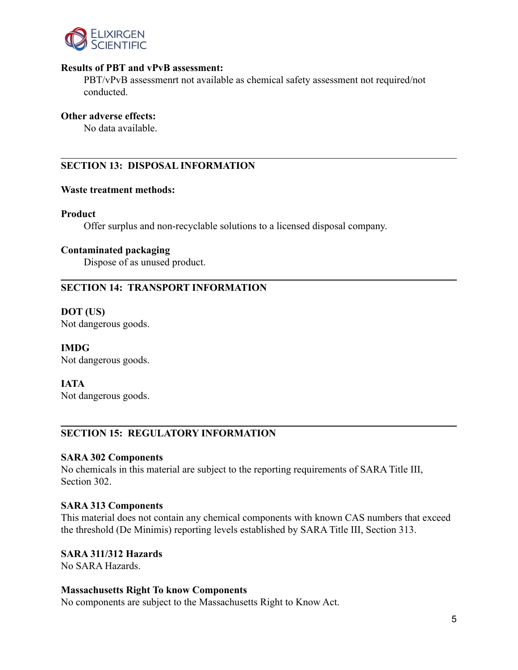

# **Results of PBT and vPvB assessment:**

PBT/vPvB assessmenrt not available as chemical safety assessment not required/not conducted.

#### **Other adverse effects:**

No data available.

# **SECTION 13: DISPOSAL INFORMATION**

#### **Waste treatment methods:**

#### **Product**

Offer surplus and non-recyclable solutions to a licensed disposal company.

#### **Contaminated packaging**

Dispose of as unused product.

# **SECTION 14: TRANSPORT INFORMATION**

**DOT (US)** Not dangerous goods.

**IMDG** Not dangerous goods.

**IATA** Not dangerous goods.

# **SECTION 15: REGULATORY INFORMATION**

### **SARA 302 Components**

No chemicals in this material are subject to the reporting requirements of SARA Title III, Section 302.

#### **SARA 313 Components**

This material does not contain any chemical components with known CAS numbers that exceed the threshold (De Minimis) reporting levels established by SARA Title III, Section 313.

#### **SARA 311/312 Hazards**

No SARA Hazards.

#### **Massachusetts Right To know Components**

No components are subject to the Massachusetts Right to Know Act.